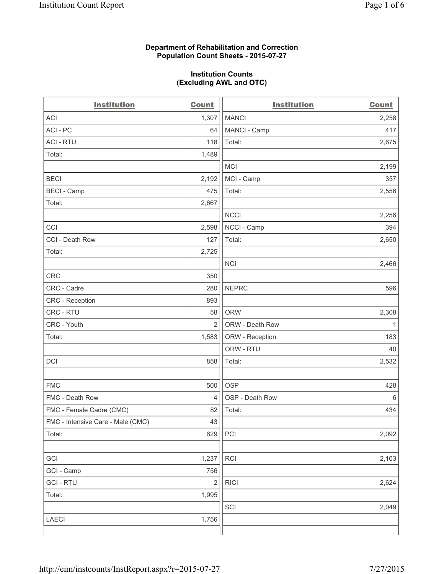#### **Department of Rehabilitation and Correction Population Count Sheets - 2015-07-27**

#### **Institution Counts (Excluding AWL and OTC)**

| <b>Institution</b>                | <b>Count</b>   | <b>Institution</b> | <b>Count</b> |
|-----------------------------------|----------------|--------------------|--------------|
| <b>ACI</b>                        | 1,307          | <b>MANCI</b>       | 2,258        |
| ACI-PC                            | 64             | MANCI - Camp       | 417          |
| <b>ACI - RTU</b>                  | 118            | Total:             | 2,675        |
| Total:                            | 1,489          |                    |              |
|                                   |                | <b>MCI</b>         | 2,199        |
| <b>BECI</b>                       | 2,192          | MCI - Camp         | 357          |
| <b>BECI - Camp</b>                | 475            | Total:             | 2,556        |
| Total:                            | 2,667          |                    |              |
|                                   |                | <b>NCCI</b>        | 2,256        |
| CCI                               | 2,598          | NCCI - Camp        | 394          |
| CCI - Death Row                   | 127            | Total:             | 2,650        |
| Total:                            | 2,725          |                    |              |
|                                   |                | <b>NCI</b>         | 2,466        |
| <b>CRC</b>                        | 350            |                    |              |
| CRC - Cadre                       | 280            | <b>NEPRC</b>       | 596          |
| CRC - Reception                   | 893            |                    |              |
| CRC - RTU                         | 58             | <b>ORW</b>         | 2,308        |
| CRC - Youth                       | $\overline{2}$ | ORW - Death Row    | 1            |
| Total:                            | 1,583          | ORW - Reception    | 183          |
|                                   |                | ORW - RTU          | 40           |
| DCI                               | 858            | Total:             | 2,532        |
|                                   |                |                    |              |
| <b>FMC</b>                        | 500            | <b>OSP</b>         | 428          |
| FMC - Death Row                   | $\overline{4}$ | OSP - Death Row    | 6            |
| FMC - Female Cadre (CMC)          | 82             | Total:             | 434          |
| FMC - Intensive Care - Male (CMC) | 43             |                    |              |
| Total:                            | 629            | PCI                | 2,092        |
|                                   |                |                    |              |
| GCI                               | 1,237          | RCI                | 2,103        |
| GCI - Camp                        | 756            |                    |              |
| <b>GCI - RTU</b>                  | $\overline{2}$ | <b>RICI</b>        | 2,624        |
| Total:                            | 1,995          |                    |              |
|                                   |                | SCI                | 2,049        |
| LAECI                             | 1,756          |                    |              |
|                                   |                |                    |              |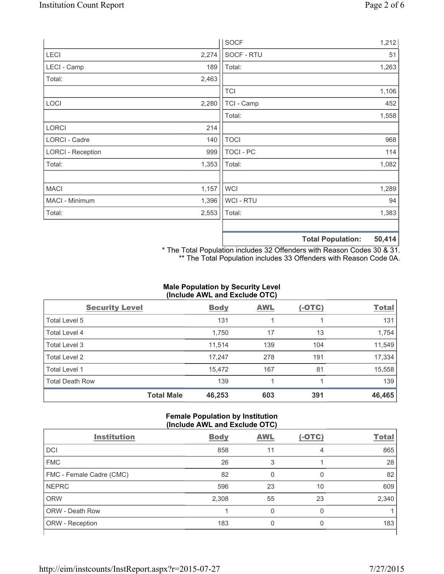|                          |       | <b>SOCF</b>      | 1,212                                             |
|--------------------------|-------|------------------|---------------------------------------------------|
| LECI                     | 2,274 | SOCF - RTU       | 51                                                |
| LECI - Camp              | 189   | Total:           | 1,263                                             |
| Total:                   | 2,463 |                  |                                                   |
|                          |       | <b>TCI</b>       | 1,106                                             |
| LOCI                     | 2,280 | TCI - Camp       | 452                                               |
|                          |       | Total:           | 1,558                                             |
| <b>LORCI</b>             | 214   |                  |                                                   |
| LORCI - Cadre            | 140   | <b>TOCI</b>      | 968                                               |
| <b>LORCI - Reception</b> | 999   | <b>TOCI - PC</b> | 114                                               |
| Total:                   | 1,353 | Total:           | 1,082                                             |
|                          |       |                  |                                                   |
| <b>MACI</b>              | 1,157 | <b>WCI</b>       | 1,289                                             |
| MACI - Minimum           | 1,396 | WCI - RTU        | 94                                                |
| Total:                   | 2,553 | Total:           | 1,383                                             |
|                          |       |                  |                                                   |
|                          |       |                  | $F^{\prime}$ $A$ $A$ $A$<br>天下 ちょうし あいしょうしょうしんしょう |

**Total Population: 50,414**

\* The Total Population includes 32 Offenders with Reason Codes 30 & 31. \*\* The Total Population includes 33 Offenders with Reason Code 0A.

# **Male Population by Security Level (Include AWL and Exclude OTC)**

| <b>Security Level</b>  |                   | <b>Body</b> | <b>AWL</b> | $(-OTC)$ | <b>Total</b> |
|------------------------|-------------------|-------------|------------|----------|--------------|
| Total Level 5          |                   | 131         |            |          | 131          |
| <b>Total Level 4</b>   |                   | 1,750       | 17         | 13       | 1,754        |
| Total Level 3          |                   | 11,514      | 139        | 104      | 11,549       |
| Total Level 2          |                   | 17,247      | 278        | 191      | 17,334       |
| <b>Total Level 1</b>   |                   | 15,472      | 167        | 81       | 15,558       |
| <b>Total Death Row</b> |                   | 139         |            |          | 139          |
|                        | <b>Total Male</b> | 46,253      | 603        | 391      | 46,465       |

#### **Female Population by Institution (Include AWL and Exclude OTC)**

| <b>Institution</b>       | <b>Body</b> | <b>AWL</b> | $(-OTC)$ | <b>Total</b> |
|--------------------------|-------------|------------|----------|--------------|
|                          |             |            |          |              |
| <b>DCI</b>               | 858         | 11         | 4        | 865          |
| <b>FMC</b>               | 26          | 3          |          | 28           |
| FMC - Female Cadre (CMC) | 82          | 0          | 0        | 82           |
| <b>NEPRC</b>             | 596         | 23         | 10       | 609          |
| <b>ORW</b>               | 2,308       | 55         | 23       | 2,340        |
| <b>ORW - Death Row</b>   |             | 0          | 0        |              |
| ORW - Reception          | 183         | U          | 0        | 183          |
|                          |             |            |          |              |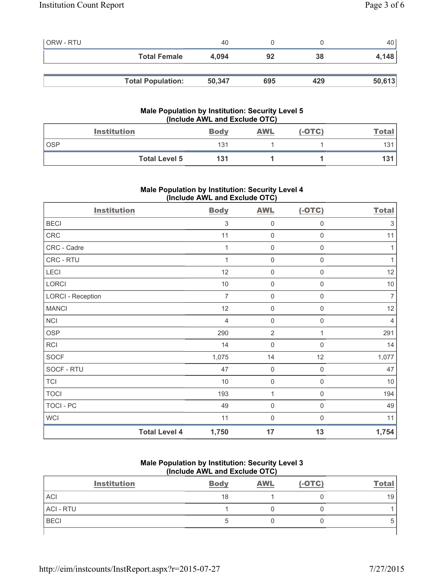| <b>ORW - RTU</b> |                          | 40     |     |     | 40 <sup>1</sup> |
|------------------|--------------------------|--------|-----|-----|-----------------|
|                  | <b>Total Female</b>      | 4,094  | 92  | 38  | 4,148           |
|                  |                          |        |     |     |                 |
|                  | <b>Total Population:</b> | 50,347 | 695 | 429 | 50,613          |

## **Male Population by Institution: Security Level 5 (Include AWL and Exclude OTC)**

|     | <b>Institution</b>   | <b>Body</b> | <b>AWL</b> | $(-OTC)$ | <u>Total</u> |
|-----|----------------------|-------------|------------|----------|--------------|
| OSP |                      | 131         |            |          | 131          |
|     | <b>Total Level 5</b> | 131         |            |          | 131          |

# **Male Population by Institution: Security Level 4 (Include AWL and Exclude OTC)**

| <b>Institution</b>       |                      | <b>Body</b>               | <b>AWL</b>          | $(-OTC)$            | <b>Total</b>              |
|--------------------------|----------------------|---------------------------|---------------------|---------------------|---------------------------|
| <b>BECI</b>              |                      | $\ensuremath{\mathsf{3}}$ | 0                   | $\mathsf{0}$        | $\ensuremath{\mathsf{3}}$ |
| CRC                      |                      | 11                        | $\mathsf{O}\xspace$ | $\mathsf 0$         | 11                        |
| CRC - Cadre              |                      | $\mathbf{1}$              | 0                   | $\mathsf{0}$        | 1                         |
| CRC - RTU                |                      | 1                         | $\mathsf{O}\xspace$ | $\mathsf{O}\xspace$ | $\mathbf{1}$              |
| LECI                     |                      | 12                        | $\mathsf{O}\xspace$ | $\mathsf 0$         | 12                        |
| LORCI                    |                      | $10$                      | 0                   | $\mathbf 0$         | $10$                      |
| <b>LORCI - Reception</b> |                      | $\overline{7}$            | $\mathsf{O}\xspace$ | $\boldsymbol{0}$    | $\overline{7}$            |
| <b>MANCI</b>             |                      | 12                        | 0                   | 0                   | 12                        |
| NCI                      |                      | $\overline{4}$            | $\mathsf{O}\xspace$ | 0                   | 4                         |
| <b>OSP</b>               |                      | 290                       | $\overline{2}$      | 1                   | 291                       |
| RCI                      |                      | 14                        | 0                   | $\mathbf 0$         | 14                        |
| <b>SOCF</b>              |                      | 1,075                     | 14                  | 12                  | 1,077                     |
| SOCF - RTU               |                      | 47                        | $\boldsymbol{0}$    | $\mathbf 0$         | 47                        |
| <b>TCI</b>               |                      | 10                        | 0                   | $\boldsymbol{0}$    | 10                        |
| <b>TOCI</b>              |                      | 193                       | $\mathbf{1}$        | $\mathsf 0$         | 194                       |
| TOCI - PC                |                      | 49                        | 0                   | $\mathbf 0$         | 49                        |
| <b>WCI</b>               |                      | 11                        | $\mathbf 0$         | 0                   | 11                        |
|                          | <b>Total Level 4</b> | 1,750                     | 17                  | 13                  | 1,754                     |

# **Male Population by Institution: Security Level 3 (Include AWL and Exclude OTC)**

| <b>Institution</b> | <b>Body</b> | <b>AWL</b> | $(-OTC)$ | <b>Total</b> |
|--------------------|-------------|------------|----------|--------------|
| <b>ACI</b>         | 18          |            |          | 19           |
| <b>ACI - RTU</b>   |             |            |          |              |
| <b>BECI</b>        |             |            |          |              |
|                    |             |            |          |              |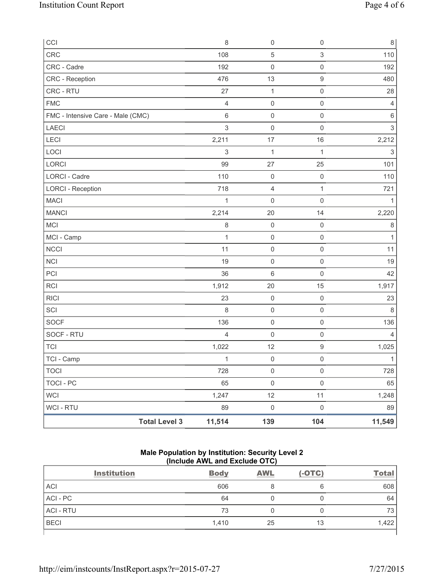| CCI                               | 8                              | 0                   | $\mathsf 0$         | 8                         |
|-----------------------------------|--------------------------------|---------------------|---------------------|---------------------------|
| <b>CRC</b>                        | 108                            | 5                   | $\sqrt{3}$          | 110                       |
| CRC - Cadre                       | 192                            | $\mathsf{O}\xspace$ | $\mathsf 0$         | 192                       |
| CRC - Reception                   | 476                            | 13                  | $\hbox{9}$          | 480                       |
| CRC - RTU                         | 27                             | $\mathbf{1}$        | $\mathsf 0$         | 28                        |
| <b>FMC</b>                        | $\overline{4}$                 | $\mathbf 0$         | $\mathsf 0$         | 4                         |
| FMC - Intensive Care - Male (CMC) | $\,6$                          | $\mathsf{O}\xspace$ | $\mathsf 0$         | $\,6\,$                   |
| LAECI                             | $\sqrt{3}$                     | $\mathsf{O}\xspace$ | $\mathsf{O}\xspace$ | $\ensuremath{\mathsf{3}}$ |
| LECI                              | 2,211                          | 17                  | 16                  | 2,212                     |
| LOCI                              | $\sqrt{3}$                     | $\mathbf{1}$        | $\mathbf{1}$        | 3                         |
| LORCI                             | 99                             | 27                  | 25                  | 101                       |
| <b>LORCI - Cadre</b>              | 110                            | $\mathbf 0$         | $\mathsf 0$         | 110                       |
| <b>LORCI - Reception</b>          | 718                            | 4                   | 1                   | 721                       |
| <b>MACI</b>                       | $\mathbf{1}$                   | $\mathsf{O}\xspace$ | $\mathsf{O}\xspace$ | 1                         |
| <b>MANCI</b>                      | 2,214                          | 20                  | 14                  | 2,220                     |
| <b>MCI</b>                        | $\,8\,$                        | $\mathbf 0$         | $\mathsf{O}\xspace$ | 8                         |
| MCI - Camp                        | $\mathbf{1}$                   | $\mathsf 0$         | $\mathsf 0$         | $\mathbf{1}$              |
| <b>NCCI</b>                       | 11                             | $\mathsf{O}\xspace$ | $\mathsf{O}\xspace$ | 11                        |
| <b>NCI</b>                        | 19                             | $\mathsf{O}\xspace$ | $\mathsf 0$         | 19                        |
| PCI                               | 36                             | 6                   | $\mathsf{O}\xspace$ | 42                        |
| <b>RCI</b>                        | 1,912                          | 20                  | 15                  | 1,917                     |
| <b>RICI</b>                       | 23                             | $\mathbf 0$         | $\mathsf 0$         | 23                        |
| SCI                               | 8                              | $\mathsf{O}\xspace$ | $\mathsf 0$         | 8                         |
| SOCF                              | 136                            | $\mathsf 0$         | $\mathsf 0$         | 136                       |
| SOCF - RTU                        | $\overline{4}$                 | $\mathbf 0$         | $\mathsf 0$         | 4                         |
| <b>TCI</b>                        | 1,022                          | 12                  | $\boldsymbol{9}$    | 1,025                     |
| TCI - Camp                        | $\mathbf{1}$                   | $\mathsf{O}\xspace$ | $\mathsf 0$         | $\mathbf{1}$              |
| <b>TOCI</b>                       | 728                            | $\mathsf{O}\xspace$ | $\mathsf{O}\xspace$ | 728                       |
| <b>TOCI - PC</b>                  | 65                             | $\mathsf{O}\xspace$ | $\mathsf{O}\xspace$ | 65                        |
| <b>WCI</b>                        | 1,247                          | 12                  | 11                  | 1,248                     |
| <b>WCI - RTU</b>                  | 89                             | $\mathsf{O}\xspace$ | $\mathsf 0$         | 89                        |
|                                   | <b>Total Level 3</b><br>11,514 | 139                 | 104                 | 11,549                    |

# **Male Population by Institution: Security Level 2 (Include AWL and Exclude OTC)**

| <b>Institution</b> | <b>Body</b> | <b>AWL</b> | $(-OTC)$ | <b>Total</b> |
|--------------------|-------------|------------|----------|--------------|
| <b>ACI</b>         | 606         | 8          | 6        | 608          |
| ACI-PC             | 64          |            | 0        | 64           |
| <b>ACI - RTU</b>   | 73          |            | 0        | 73           |
| <b>BECI</b>        | 1,410       | 25         | 13       | 1,422        |
|                    |             |            |          |              |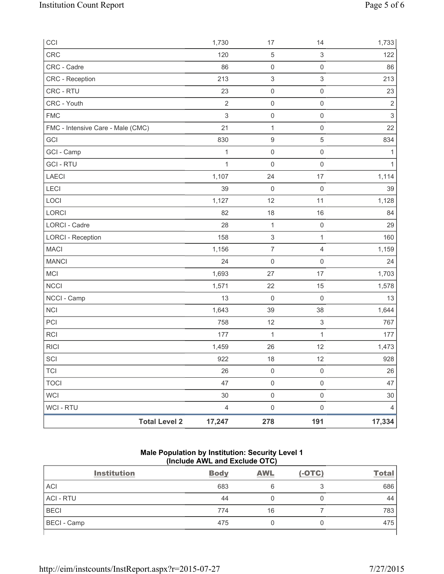| CCI                               |                      | 1,730          | 17                        | 14                        | 1,733       |
|-----------------------------------|----------------------|----------------|---------------------------|---------------------------|-------------|
| CRC                               |                      | 120            | $\sqrt{5}$                | $\ensuremath{\mathsf{3}}$ | 122         |
| CRC - Cadre                       |                      | 86             | $\mathsf{O}\xspace$       | $\mathsf 0$               | 86          |
| CRC - Reception                   |                      | 213            | $\ensuremath{\mathsf{3}}$ | 3                         | 213         |
| CRC - RTU                         |                      | 23             | $\mathsf{O}\xspace$       | $\mathsf 0$               | 23          |
| CRC - Youth                       |                      | $\overline{2}$ | $\pmb{0}$                 | $\mathsf{O}\xspace$       | $\sqrt{2}$  |
| <b>FMC</b>                        |                      | $\mathsf 3$    | $\mathsf{O}\xspace$       | $\mathsf{O}\xspace$       | $\mathsf 3$ |
| FMC - Intensive Care - Male (CMC) |                      | 21             | 1                         | $\mathsf 0$               | 22          |
| GCI                               |                      | 830            | $\hbox{9}$                | 5                         | 834         |
| GCI - Camp                        |                      | $\mathbf 1$    | $\mathsf{O}\xspace$       | $\mathsf 0$               | 1           |
| <b>GCI-RTU</b>                    |                      | 1              | $\mathsf{O}\xspace$       | $\mathsf{O}\xspace$       | 1           |
| LAECI                             |                      | 1,107          | 24                        | 17                        | 1,114       |
| LECI                              |                      | 39             | 0                         | $\mathbf 0$               | 39          |
| LOCI                              |                      | 1,127          | 12                        | 11                        | 1,128       |
| LORCI                             |                      | 82             | 18                        | 16                        | 84          |
| <b>LORCI - Cadre</b>              |                      | 28             | 1                         | $\mathsf 0$               | 29          |
| <b>LORCI - Reception</b>          |                      | 158            | $\sqrt{3}$                | $\mathbf{1}$              | 160         |
| <b>MACI</b>                       |                      | 1,156          | $\boldsymbol{7}$          | $\overline{4}$            | 1,159       |
| <b>MANCI</b>                      |                      | 24             | $\mathsf{O}\xspace$       | $\mathbf 0$               | 24          |
| MCI                               |                      | 1,693          | 27                        | 17                        | 1,703       |
| <b>NCCI</b>                       |                      | 1,571          | 22                        | 15                        | 1,578       |
| NCCI - Camp                       |                      | 13             | $\mathsf{O}\xspace$       | $\mathsf 0$               | 13          |
| <b>NCI</b>                        |                      | 1,643          | 39                        | 38                        | 1,644       |
| PCI                               |                      | 758            | 12                        | $\ensuremath{\mathsf{3}}$ | 767         |
| <b>RCI</b>                        |                      | 177            | 1                         | $\mathbf{1}$              | 177         |
| <b>RICI</b>                       |                      | 1,459          | 26                        | 12                        | 1,473       |
| SCI                               |                      | 922            | 18                        | 12                        | 928         |
| <b>TCI</b>                        |                      | 26             | $\mathsf{O}\xspace$       | $\mathsf{O}\xspace$       | 26          |
| <b>TOCI</b>                       |                      | 47             | $\mathsf{O}\xspace$       | $\mathsf{O}\xspace$       | 47          |
| <b>WCI</b>                        |                      | 30             | $\mathsf{O}\xspace$       | $\mathsf{O}\xspace$       | $30\,$      |
| <b>WCI - RTU</b>                  |                      | $\overline{4}$ | $\mathsf{O}\xspace$       | $\mathsf{O}\xspace$       | 4           |
|                                   | <b>Total Level 2</b> | 17,247         | 278                       | 191                       | 17,334      |

# **Male Population by Institution: Security Level 1 (Include AWL and Exclude OTC)**

| <b>Institution</b> | <b>Body</b> | <b>AWL</b> | $(-OTC)$         | <b>Total</b> |
|--------------------|-------------|------------|------------------|--------------|
| <b>ACI</b>         | 683         | 6          | $\sqrt{2}$<br>x. | 686          |
| <b>ACI - RTU</b>   | 44          |            |                  | 44           |
| <b>BECI</b>        | 774         | 16         |                  | 783          |
| <b>BECI</b> - Camp | 475         |            | Ü                | 475          |
|                    |             |            |                  |              |